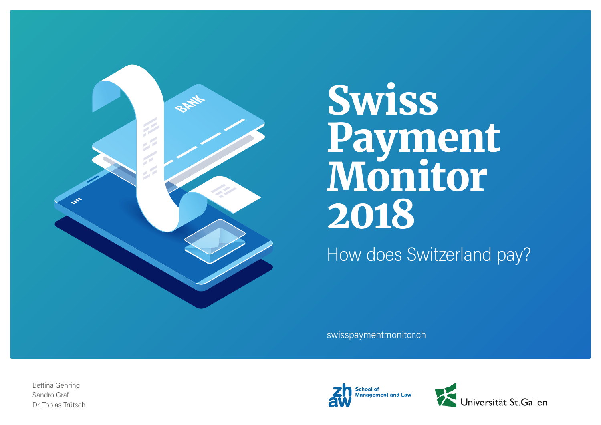

# Swiss Payment Monitor 2018

How does Switzerland pay?

swisspaymentmonitor.ch

Bettina Gehring Sandro Graf Dr. Tobias Trütsch



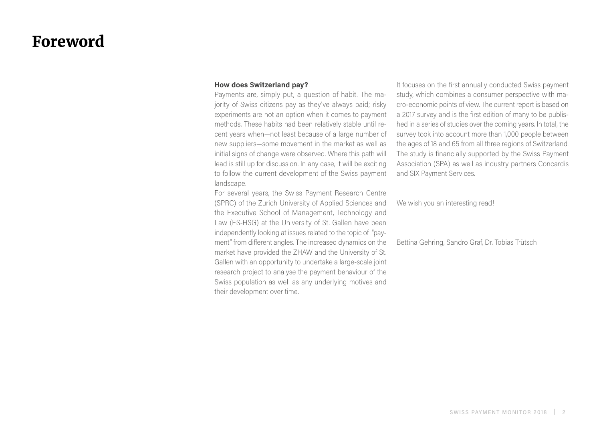# Foreword

# **How does Switzerland pay?**

Payments are, simply put, a question of habit. The majority of Swiss citizens pay as they've always paid; risky experiments are not an option when it comes to payment methods. These habits had been relatively stable until recent years when—not least because of a large number of new suppliers—some movement in the market as well as initial signs of change were observed. Where this path will lead is still up for discussion. In any case, it will be exciting to follow the current development of the Swiss payment landscape.

For several years, the Swiss Payment Research Centre (SPRC) of the Zurich University of Applied Sciences and the Executive School of Management, Technology and Law (ES-HSG) at the University of St. Gallen have been independently looking at issues related to the topic of "payment" from different angles. The increased dynamics on the market have provided the ZHAW and the University of St. Gallen with an opportunity to undertake a large-scale joint research project to analyse the payment behaviour of the Swiss population as well as any underlying motives and their development over time.

It focuses on the first annually conducted Swiss payment study, which combines a consumer perspective with macro-economic points of view. The current report is based on a 2017 survey and is the first edition of many to be published in a series of studies over the coming years. In total, the survey took into account more than 1,000 people between the ages of 18 and 65 from all three regions of Switzerland. The study is financially supported by the Swiss Payment Association (SPA) as well as industry partners Concardis and SIX Payment Services.

We wish you an interesting read!

Bettina Gehring, Sandro Graf, Dr. Tobias Trütsch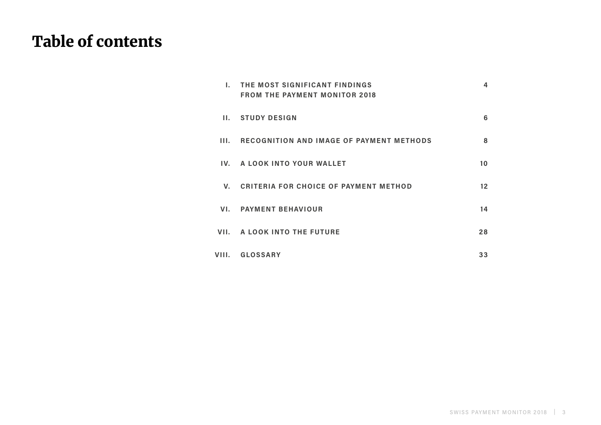# Table of contents

| Ι.          | THE MOST SIGNIFICANT FINDINGS<br><b>FROM THE PAYMENT MONITOR 2018</b> | 4               |
|-------------|-----------------------------------------------------------------------|-----------------|
|             | II. STUDY DESIGN                                                      | 6               |
| HL.         | RECOGNITION AND IMAGE OF PAYMENT METHODS                              | 8               |
|             | IV. A LOOK INTO YOUR WALLET                                           | 10              |
| $V_{\cdot}$ | <b>CRITERIA FOR CHOICE OF PAYMENT METHOD</b>                          | 12 <sup>2</sup> |
| VI.         | <b>PAYMENT BEHAVIOUR</b>                                              | 14              |
|             | VII. A LOOK INTO THE FUTURE                                           | 28              |
| VIII.       | <b>GLOSSARY</b>                                                       | 33              |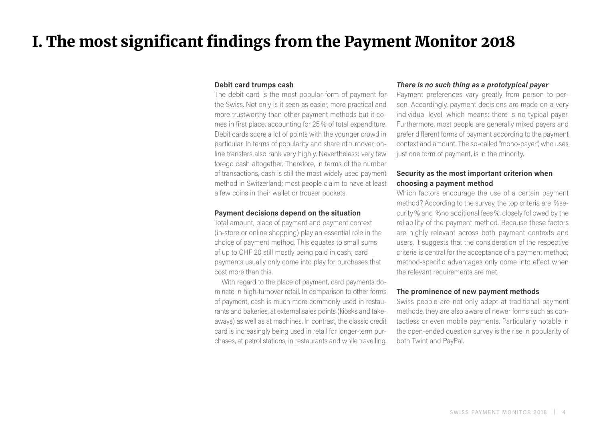# <span id="page-3-0"></span>I. The most significant findings from the Payment Monitor 2018

### **Debit card trumps cash**

The debit card is the most popular form of payment for the Swiss. Not only is it seen as easier, more practical and more trustworthy than other payment methods but it comes in first place, accounting for 25% of total expenditure. Debit cards score a lot of points with the younger crowd in particular. In terms of popularity and share of turnover, online transfers also rank very highly. Nevertheless: very few forego cash altogether. Therefore, in terms of the number of transactions, cash is still the most widely used payment method in Switzerland; most people claim to have at least a few coins in their wallet or trouser pockets.

# **Payment decisions depend on the situation**

Total amount, place of payment and payment context (in-store or online shopping) play an essential role in the choice of payment method. This equates to small sums of up to CHF 20 still mostly being paid in cash; card payments usually only come into play for purchases that cost more than this.

With regard to the place of payment, card payments dominate in high-turnover retail. In comparison to other forms of payment, cash is much more commonly used in restaurants and bakeries, at external sales points (kiosks and takeaways) as well as at machines. In contrast, the classic credit card is increasingly being used in retail for longer-term purchases, at petrol stations, in restaurants and while travelling.

# *There is no such thing as a prototypical payer*

Payment preferences vary greatly from person to person. Accordingly, payment decisions are made on a very individual level, which means: there is no typical payer. Furthermore, most people are generally mixed payers and prefer different forms of payment according to the payment context and amount. The so-called "mono-payer", who uses just one form of payment, is in the minority.

# **Security as the most important criterion when choosing a payment method**

Which factors encourage the use of a certain payment method? According to the survey, the top criteria are %security% and %no additional fees%, closely followed by the reliability of the payment method. Because these factors are highly relevant across both payment contexts and users, it suggests that the consideration of the respective criteria is central for the acceptance of a payment method; method-specific advantages only come into effect when the relevant requirements are met.

# **The prominence of new payment methods**

Swiss people are not only adept at traditional payment methods, they are also aware of newer forms such as contactless or even mobile payments. Particularly notable in the open-ended question survey is the rise in popularity of both Twint and PayPal.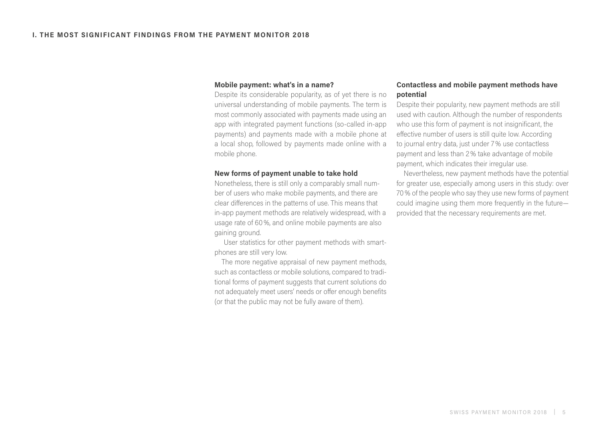### **Mobile payment: what's in a name?**

Despite its considerable popularity, as of yet there is no universal understanding of mobile payments. The term is most commonly associated with payments made using an app with integrated payment functions (so-called in-app payments) and payments made with a mobile phone at a local shop, followed by payments made online with a mobile phone.

### **New forms of payment unable to take hold**

Nonetheless, there is still only a comparably small number of users who make mobile payments, and there are clear differences in the patterns of use. This means that in-app payment methods are relatively widespread, with a usage rate of 60%, and online mobile payments are also gaining ground.

 User statistics for other payment methods with smartphones are still very low.

The more negative appraisal of new payment methods, such as contactless or mobile solutions, compared to traditional forms of payment suggests that current solutions do not adequately meet users' needs or offer enough benefits (or that the public may not be fully aware of them).

# **Contactless and mobile payment methods have potential**

Despite their popularity, new payment methods are still used with caution. Although the number of respondents who use this form of payment is not insignificant, the effective number of users is still quite low. According to journal entry data, just under 7% use contactless payment and less than 2% take advantage of mobile payment, which indicates their irregular use.

Nevertheless, new payment methods have the potential for greater use, especially among users in this study: over 70% of the people who say they use new forms of payment could imagine using them more frequently in the future provided that the necessary requirements are met.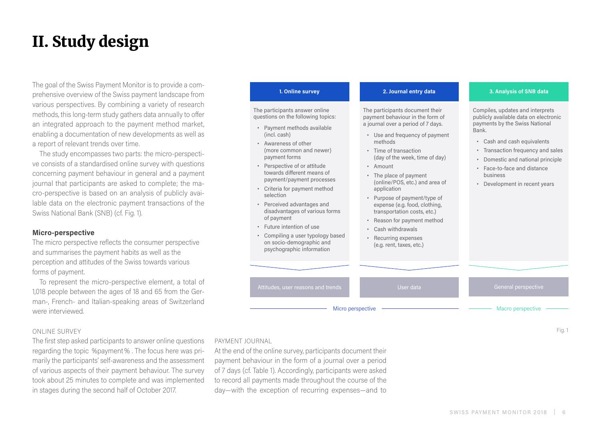# <span id="page-5-0"></span>II. Study design

The goal of the Swiss Payment Monitor is to provide a comprehensive overview of the Swiss payment landscape from various perspectives. By combining a variety of research methods, this long-term study gathers data annually to offer an integrated approach to the payment method market, enabling a documentation of new developments as well as a report of relevant trends over time.

The study encompasses two parts: the micro-perspective consists of a standardised online survey with questions concerning payment behaviour in general and a payment journal that participants are asked to complete; the macro-perspective is based on an analysis of publicly available data on the electronic payment transactions of the Swiss National Bank (SNB) (cf. Fig. 1).

# **Micro-perspective**

The micro perspective reflects the consumer perspective and summarises the payment habits as well as the perception and attitudes of the Swiss towards various forms of payment.

To represent the micro-perspective element, a total of 1,018 people between the ages of 18 and 65 from the German-, French- and Italian-speaking areas of Switzerland were interviewed.

# ONLINE SURVEY

The first step asked participants to answer online questions regarding the topic %payment% . The focus here was primarily the participants' self-awareness and the assessment of various aspects of their payment behaviour. The survey took about 25 minutes to complete and was implemented in stages during the second half of October 2017.

### **1. Online survey**

The participants answer online questions on the following topics:

- **•** Payment methods available (incl. cash)
- **•** Awareness of other (more common and newer) payment forms
- **•** Perspective of or attitude towards different means of payment/payment processes
- **•** Criteria for payment method selection
- **•** Perceived advantages and disadvantages of various forms of payment

### **2. Journal entry data**

The participants document their payment behaviour in the form of a journal over a period of 7 days.

- **•** Use and frequency of payment methods
- **•** Time of transaction (day of the week, time of day)
- **•** Amount
- **•** The place of payment (online/POS, etc.) and area of application
- **•** Purpose of payment/type of expense (e.g. food, clothing, transportation costs, etc.)
- **•** Reason for payment method

# **3. Analysis of SNB data**

Compiles, updates and interprets publicly available data on electronic payments by the Swiss National Bank.

- **•** Cash and cash equivalents
- **•** Transaction frequency and sales
- **•** Domestic and national principle
- **•** Face-to-face and distance business
- **•** Development in recent years



Fig. 1

PAYMENT JOURNAL

At the end of the online survey, participants document their payment behaviour in the form of a journal over a period of 7 days (cf. Table 1). Accordingly, participants were asked to record all payments made throughout the course of the day—with the exception of recurring expenses—and to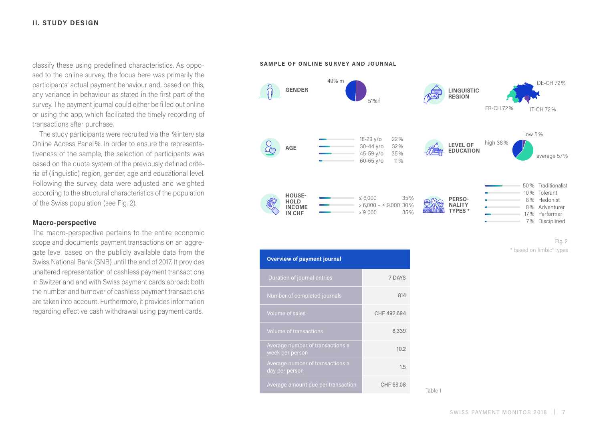classify these using predefined characteristics. As opposed to the online survey, the focus here was primarily the participants' actual payment behaviour and, based on this, any variance in behaviour as stated in the first part of the survey. The payment journal could either be filled out online or using the app, which facilitated the timely recording of transactions after purchase.

The study participants were recruited via the %intervista Online Access Panel%. In order to ensure the representativeness of the sample, the selection of participants was based on the quota system of the previously defined criteria of (linguistic) region, gender, age and educational level. Following the survey, data were adjusted and weighted according to the structural characteristics of the population of the Swiss population (see Fig. 2).

# **Macro-perspective**

The macro-perspective pertains to the entire economic scope and documents payment transactions on an aggregate level based on the publicly available data from the Swiss National Bank (SNB) until the end of 2017. It provides unaltered representation of cashless payment transactions in Switzerland and with Swiss payment cards abroad; both the number and turnover of cashless payment transactions are taken into account. Furthermore, it provides information regarding effective cash withdrawal using payment cards.





Table 1

| <b>Overview of payment journal</b>                  |             |  |  |  |  |  |
|-----------------------------------------------------|-------------|--|--|--|--|--|
| Duration of journal entries                         | 7 DAYS      |  |  |  |  |  |
| Number of completed journals                        | 814         |  |  |  |  |  |
| <b>Volume of sales</b>                              | CHF 492,694 |  |  |  |  |  |
| <b>Volume of transactions</b>                       | 8,339       |  |  |  |  |  |
| Average number of transactions a<br>week per person | 10.2        |  |  |  |  |  |
| Average number of transactions a<br>day per person  | 1.5         |  |  |  |  |  |
| Average amount due per transaction                  | CHF 59.08   |  |  |  |  |  |

Fig. 2 \* based on limbic® types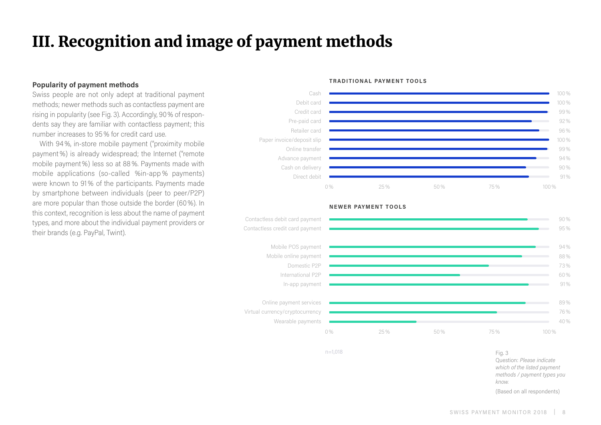# <span id="page-7-0"></span>III. Recognition and image of payment methods

# **Popularity of payment methods**

Swiss people are not only adept at traditional payment methods; newer methods such as contactless payment are rising in popularity (see Fig. 3). Accordingly, 90% of respondents say they are familiar with contactless payment; this number increases to 95% for credit card use.

With 94%, in-store mobile payment ("proximity mobile payment%) is already widespread; the Internet ("remote mobile payment%) less so at 88%. Payments made with mobile applications (so-called %in-app % payments) were known to 91% of the participants. Payments made by smartphone between individuals (peer to peer/P2P) are more popular than those outside the border (60%). In this context, recognition is less about the name of payment types, and more about the individual payment providers or their brands (e.g. PayPal, Twint).

#### Cash Debit card Credit card Pre-paid card Retailer card Paper invoice/deposit slip Online transfer Advance payment Cash on delivery Direct debit 100% 100% 99 % 92 % 96 % 100% 99 % 94 % 90 % 91 %  $0\%$  25% 50% 75% 75% 100%



#### **NEWER PAYMENT TOOLS**

**TRADITIONAL PAYMENT TOOLS**

n=1,018

Fig. 3 Question: *Please indicate which of the listed payment methods / payment types you know.* (Based on all respondents)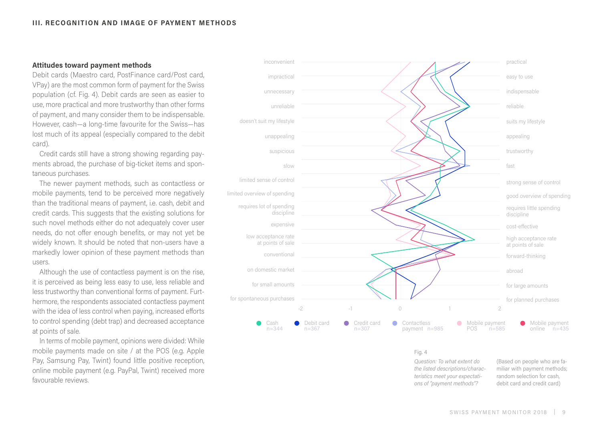# **Attitudes toward payment methods**

Debit cards (Maestro card, PostFinance card/Post card, VPay) are the most common form of payment for the Swiss population (cf. Fig. 4). Debit cards are seen as easier to use, more practical and more trustworthy than other forms of payment, and many consider them to be indispensable. However, cash—a long-time favourite for the Swiss—has lost much of its appeal (especially compared to the debit card).

Credit cards still have a strong showing regarding payments abroad, the purchase of big-ticket items and spontaneous purchases.

The newer payment methods, such as contactless or mobile payments, tend to be perceived more negatively than the traditional means of payment, i.e. cash, debit and credit cards. This suggests that the existing solutions for such novel methods either do not adequately cover user needs, do not offer enough benefits, or may not yet be widely known. It should be noted that non-users have a markedly lower opinion of these payment methods than users.

Although the use of contactless payment is on the rise, it is perceived as being less easy to use, less reliable and less trustworthy than conventional forms of payment. Furthermore, the respondents associated contactless payment with the idea of less control when paying, increased efforts to control spending (debt trap) and decreased acceptance at points of sale.

In terms of mobile payment, opinions were divided: While mobile payments made on site / at the POS (e.g. Apple Pay, Samsung Pay, Twint) found little positive reception, online mobile payment (e.g. PayPal, Twint) received more favourable reviews.



Fig. 4

*Question: To what extent do the listed descriptions/characteristics meet your expectations of "payment methods"?*

(Based on people who are familiar with payment methods; random selection for cash, debit card and credit card)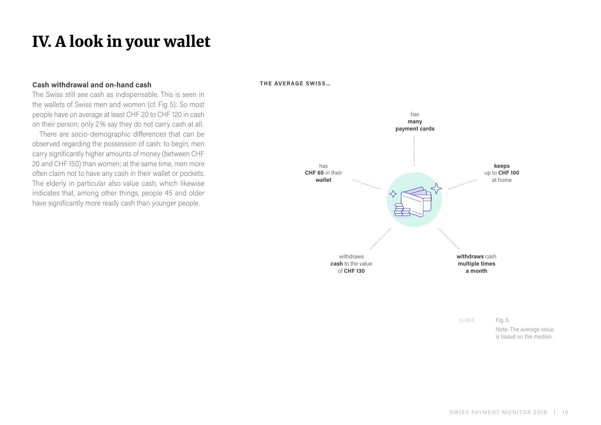# <span id="page-9-0"></span>IV. A look in your wallet

# **Cash withdrawal and on-hand cash**

The Swiss still see cash as indispensable. This is seen in the wallets of Swiss men and women (cf. Fig 5): So most people have on average at least CHF 20 to CHF 120 in cash on their person; only 2% say they do not carry cash at all.

There are socio-demographic differences that can be observed regarding the possession of cash: to begin, men carry significantly higher amounts of money (between CHF 20 and CHF 150) than women; at the same time, men more often claim not to have any cash in their wallet or pockets. The elderly in particular also value cash, which likewise indicates that, among other things, people 45 and older have significantly more ready cash than younger people.

**THE AVERAGE SWISS…**



n=814

Fig. 5 Note: The average value is based on the median.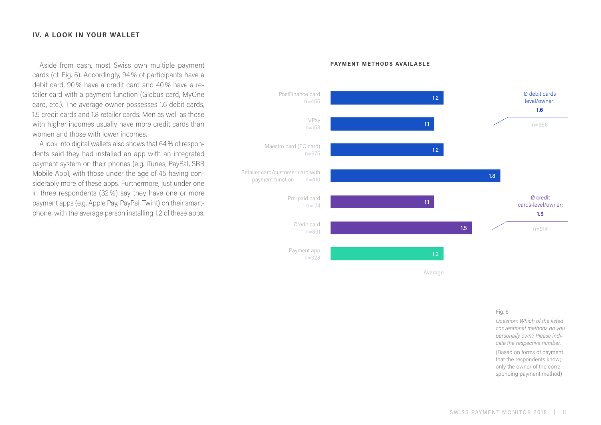# **IV. A LOOK IN YOUR WALLET**

Aside from cash, most Swiss own multiple payment cards (cf. Fig. 6). Accordingly, 94% of participants have a debit card, 90% have a credit card and 40% have a retailer card with a payment function (Globus card, MyOne card, etc.). The average owner possesses 1.6 debit cards, 1.5 credit cards and 1.8 retailer cards. Men as well as those with higher incomes usually have more credit cards than women and those with lower incomes.

A look into digital wallets also shows that 64% of respondents said they had installed an app with an integrated payment system on their phones (e.g. iTunes, PayPal, SBB Mobile App), with those under the age of 45 having considerably more of these apps. Furthermore, just under one in three respondents (32%) say they have one or more payment apps (e.g. Apple Pay, PayPal, Twint) on their smartphone, with the average person installing 1.2 of these apps.

#### **PAYMENT METHODS AVAILABLE**



Average

#### Fig. 6

*Question: Which of the listed conventional methods do you personally own? Please indicate the respective number.* (Based on forms of payment that the respondents know; only the owner of the corresponding payment method)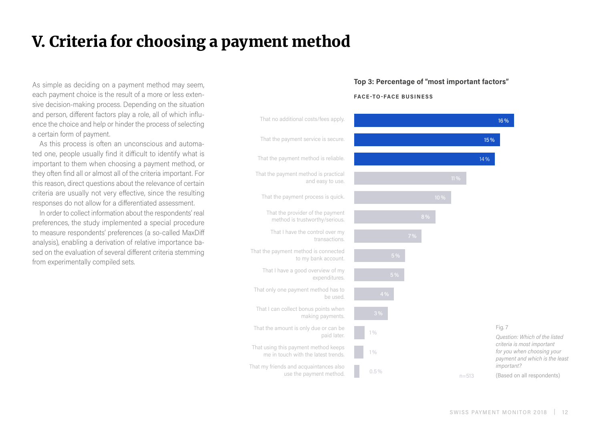# <span id="page-11-0"></span>V. Criteria for choosing a payment method

As simple as deciding on a payment method may seem, each payment choice is the result of a more or less extensive decision-making process. Depending on the situation and person, different factors play a role, all of which influence the choice and help or hinder the process of selecting a certain form of payment.

As this process is often an unconscious and automated one, people usually find it difficult to identify what is important to them when choosing a payment method, or they often find all or almost all of the criteria important. For this reason, direct questions about the relevance of certain criteria are usually not very effective, since the resulting responses do not allow for a differentiated assessment.

In order to collect information about the respondents' real preferences, the study implemented a special procedure to measure respondents' preferences (a so-called MaxDiff analysis), enabling a derivation of relative importance based on the evaluation of several different criteria stemming from experimentally compiled sets.

# **Top 3: Percentage of "most important factors"**

#### **FACE-TO-FACE BUSINESS**

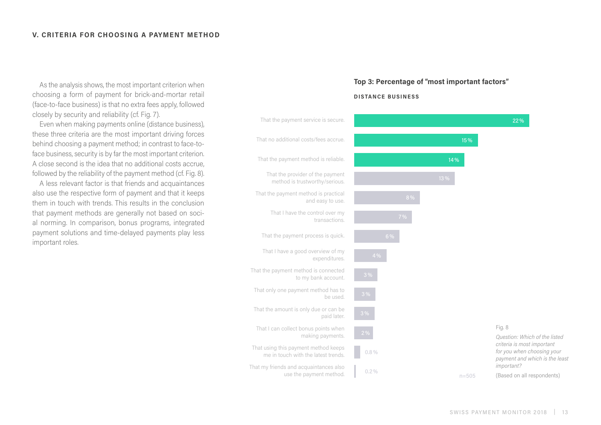As the analysis shows, the most important criterion when choosing a form of payment for brick-and-mortar retail (face-to-face business) is that no extra fees apply, followed closely by security and reliability (cf. Fig. 7).

Even when making payments online (distance business), these three criteria are the most important driving forces behind choosing a payment method; in contrast to face-toface business, security is by far the most important criterion. A close second is the idea that no additional costs accrue, followed by the reliability of the payment method (cf. Fig. 8).

A less relevant factor is that friends and acquaintances also use the respective form of payment and that it keeps them in touch with trends. This results in the conclusion that payment methods are generally not based on social norming. In comparison, bonus programs, integrated payment solutions and time-delayed payments play less important roles.

# **Top 3: Percentage of "most important factors"**

#### **DISTANCE BUSINESS**

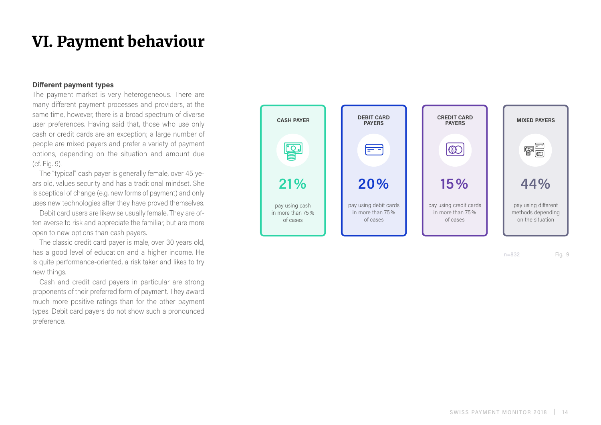# <span id="page-13-0"></span>VI. Payment behaviour

### **Different payment types**

The payment market is very heterogeneous. There are many different payment processes and providers, at the same time, however, there is a broad spectrum of diverse user preferences. Having said that, those who use only cash or credit cards are an exception; a large number of people are mixed payers and prefer a variety of payment options, depending on the situation and amount due (cf. Fig. 9).

The "typical" cash payer is generally female, over 45 years old, values security and has a traditional mindset. She is sceptical of change (e.g. new forms of payment) and only uses new technologies after they have proved themselves.

Debit card users are likewise usually female. They are often averse to risk and appreciate the familiar, but are more open to new options than cash payers.

The classic credit card payer is male, over 30 years old, has a good level of education and a higher income. He is quite performance-oriented, a risk taker and likes to try new things.

Cash and credit card payers in particular are strong proponents of their preferred form of payment. They award much more positive ratings than for the other payment types. Debit card payers do not show such a pronounced preference.



n=832 Fig. 9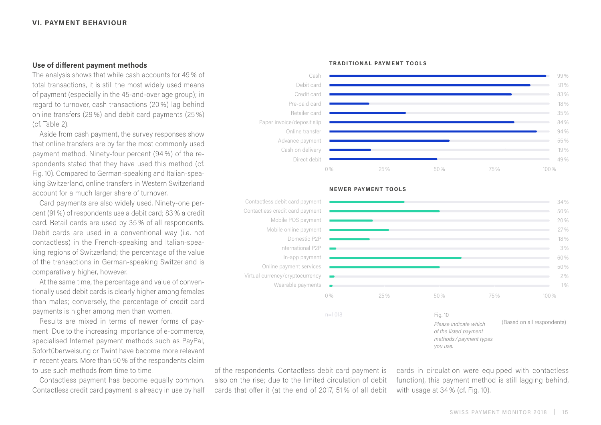# **Use of different payment methods**

The analysis shows that while cash accounts for 49 % of total transactions, it is still the most widely used means of payment (especially in the 45-and-over age group); in regard to turnover, cash transactions (20 %) lag behind online transfers (29 %) and debit card payments (25 %) (cf. Table 2).

Aside from cash payment, the survey responses show that online transfers are by far the most commonly used payment method. Ninety-four percent (94 %) of the respondents stated that they have used this method (cf. Fig. 10). Compared to German-speaking and Italian-speaking Switzerland, online transfers in Western Switzerland account for a much larger share of turnover.

Card payments are also widely used. Ninety-one percent (91%) of respondents use a debit card; 83% a credit card. Retail cards are used by 35 % of all respondents. Debit cards are used in a conventional way (i.e. not contactless) in the French-speaking and Italian-speaking regions of Switzerland; the percentage of the value of the transactions in German-speaking Switzerland is comparatively higher, however.

At the same time, the percentage and value of conventionally used debit cards is clearly higher among females than males; conversely, the percentage of credit card payments is higher among men than women.

Results are mixed in terms of newer forms of payment: Due to the increasing importance of e-commerce, specialised Internet payment methods such as PayPal, Sofortüberweisung or Twint have become more relevant in recent years. More than 50% of the respondents claim to use such methods from time to time.

Contactless payment has become equally common. Contactless credit card payment is already in use by half **TRADITIONAL PAYMENT TOOLS**



#### **NEWER PAYMENT TOOLS**



of the respondents. Contactless debit card payment is also on the rise; due to the limited circulation of debit cards that offer it (at the end of 2017, 51 % of all debit

cards in circulation were equipped with contactless function), this payment method is still lagging behind, with usage at 34 % (cf. Fig. 10).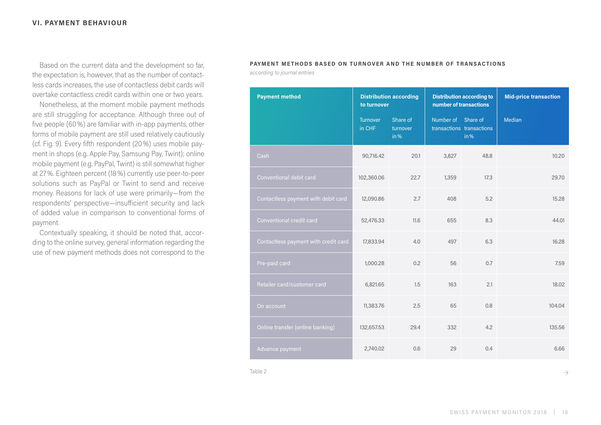Based on the current data and the development so far, the expectation is, however, that as the number of contactless cards increases, the use of contactless debit cards will overtake contactless credit cards within one or two years.

Nonetheless, at the moment mobile payment methods are still struggling for acceptance. Although three out of five people (60%) are familiar with in-app payments, other forms of mobile payment are still used relatively cautiously (cf. Fig. 9). Every fifth respondent (20%) uses mobile payment in shops (e.g. Apple Pay, Samsung Pay, Twint); online mobile payment (e.g. PayPal, Twint) is still somewhat higher at 27%. Eighteen percent (18%) currently use peer-to-peer solutions such as PayPal or Twint to send and receive money. Reasons for lack of use were primarily—from the respondents' perspective—insufficient security and lack of added value in comparison to conventional forms of payment.

Contextually speaking, it should be noted that, according to the online survey, general information regarding the use of new payment methods does not correspond to the

# **PAYMENT METHODS BASED ON TURNOVER AND THE NUMBER OF TRANSACTIONS**

*according to journal entries*

| <b>Payment method</b>                | <b>Distribution according</b><br>to turnover |                              | <b>Distribution according to</b><br>number of transactions |                                   | <b>Mid-price transaction</b> |
|--------------------------------------|----------------------------------------------|------------------------------|------------------------------------------------------------|-----------------------------------|------------------------------|
|                                      | Turnover<br>in CHF                           | Share of<br>turnover<br>in % | Number of Share of                                         | transactions transactions<br>in % | Median                       |
| Cash                                 | 90,716.42                                    | 20.1                         | 3,827                                                      | 48.8                              | 10.20                        |
| Conventional debit card              | 102,360.06                                   | 22.7                         | 1,359                                                      | 17.3                              | 29.70                        |
| Contactless payment with debit card  | 12,090.86                                    | 2.7                          | 408                                                        | 5.2                               | 15.28                        |
| Conventional credit card             | 52,476.33                                    | 11.6                         | 655                                                        | 8.3                               | 44.01                        |
| Contactless payment with credit card | 17,833.94                                    | 4.0                          | 497                                                        | 6.3                               | 16.28                        |
| Pre-paid card                        | 1,000.28                                     | 0.2                          | 56                                                         | 0.7                               | 7.59                         |
| Retailer card/customer card          | 6,821.65                                     | 1.5                          | 163                                                        | 2.1                               | 18.02                        |
| On account                           | 11,383.76                                    | 2.5                          | 65                                                         | 0.8                               | 104.04                       |
| Online transfer (online banking)     | 132,657.53                                   | 29.4                         | 332                                                        | 4.2                               | 135.56                       |
| Advance payment                      | 2,740.02                                     | 0.6                          | 29                                                         | 0.4                               | 6.66                         |

Table 2  $\rightarrow$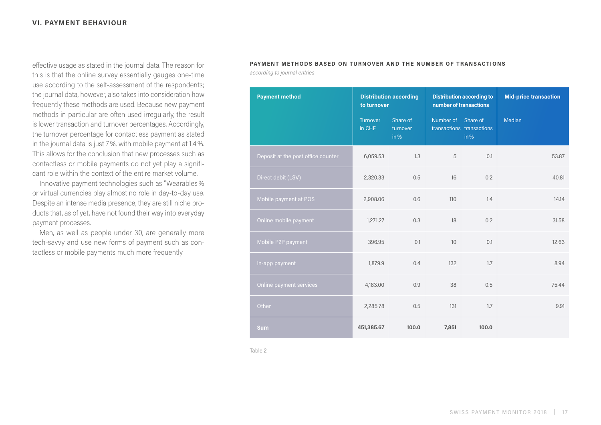effective usage as stated in the journal data. The reason for this is that the online survey essentially gauges one-time use according to the self-assessment of the respondents; the journal data, however, also takes into consideration how frequently these methods are used. Because new payment methods in particular are often used irregularly, the result is lower transaction and turnover percentages. Accordingly, the turnover percentage for contactless payment as stated in the journal data is just 7%, with mobile payment at 1.4%. This allows for the conclusion that new processes such as contactless or mobile payments do not yet play a significant role within the context of the entire market volume.

Innovative payment technologies such as "Wearables% or virtual currencies play almost no role in day-to-day use. Despite an intense media presence, they are still niche products that, as of yet, have not found their way into everyday payment processes.

Men, as well as people under 30, are generally more tech-savvy and use new forms of payment such as contactless or mobile payments much more frequently.

# **PAYMENT METHODS BASED ON TURNOVER AND THE NUMBER OF TRANSACTIONS**

*according to journal entries*

| <b>Payment method</b>              | <b>Distribution according</b><br>to turnover |                              | <b>Distribution according to</b><br>number of transactions |                                   | <b>Mid-price transaction</b> |
|------------------------------------|----------------------------------------------|------------------------------|------------------------------------------------------------|-----------------------------------|------------------------------|
|                                    | Turnover<br>in CHF                           | Share of<br>turnover<br>in % | Number of Share of                                         | transactions transactions<br>in % | <b>Median</b>                |
| Deposit at the post office counter | 6,059.53                                     | 1.3                          | 5                                                          | 0.1                               | 53,87                        |
| Direct debit (LSV)                 | 2,320.33                                     | 0.5                          | 16                                                         | 0.2                               | 40.81                        |
| Mobile payment at POS              | 2,908.06                                     | 0.6                          | 110                                                        | 1.4                               | 14.14                        |
| Online mobile payment              | 1,271.27                                     | 0.3                          | 18                                                         | 0.2                               | 31.58                        |
| Mobile P2P payment                 | 396.95                                       | 0.1                          | 10                                                         | 0.1                               | 12.63                        |
| In-app payment                     | 1,879.9                                      | 0.4                          | 132                                                        | 1.7                               | 8.94                         |
| Online payment services            | 4,183.00                                     | 0.9                          | 38                                                         | 0.5                               | 75.44                        |
| Other                              | 2,285.78                                     | 0.5                          | 131                                                        | 1.7                               | 9.91                         |
| <b>Sum</b>                         | 451,385.67                                   | 100.0                        | 7,851                                                      | 100.0                             |                              |

Table 2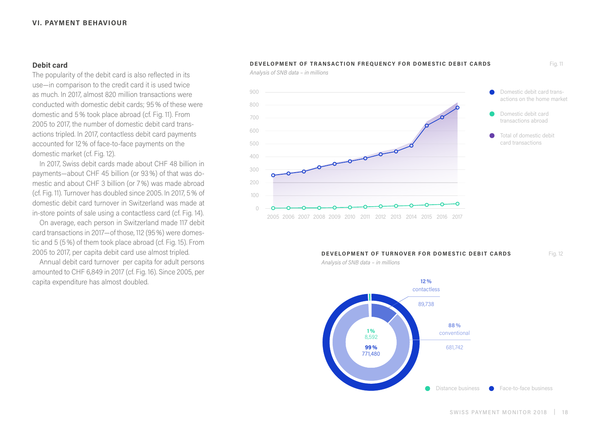# **Debit card**

The popularity of the debit card is also reflected in its use—in comparison to the credit card it is used twice as much. In 2017, almost 820 million transactions were conducted with domestic debit cards; 95% of these were domestic and 5% took place abroad (cf. Fig. 11). From 2005 to 2017, the number of domestic debit card transactions tripled. In 2017, contactless debit card payments accounted for 12% of face-to-face payments on the domestic market (cf. Fig. 12).

In 2017, Swiss debit cards made about CHF 48 billion in payments—about CHF 45 billion (or 93%) of that was domestic and about CHF 3 billion (or 7%) was made abroad (cf. Fig. 11). Turnover has doubled since 2005. In 2017, 5% of domestic debit card turnover in Switzerland was made at in-store points of sale using a contactless card (cf. Fig. 14).

On average, each person in Switzerland made 117 debit card transactions in 2017—of those, 112 (95%) were domestic and 5 (5%) of them took place abroad (cf. Fig. 15). From 2005 to 2017, per capita debit card use almost tripled.

Annual debit card turnover per capita for adult persons amounted to CHF 6,849 in 2017 (cf. Fig. 16). Since 2005, per capita expenditure has almost doubled.



*Analysis of SNB data – in millions*

*Analysis of SNB data – in millions*



**DEVELOPMENT OF TURNOVER FOR DOMESTIC DEBIT CARDS**

Fig. 12



Fig. 11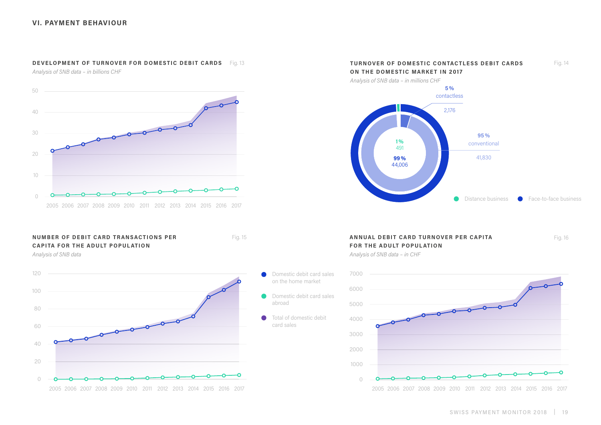#### **DEVELOPMENT OF TURNOVER FOR DOMESTIC DEBIT CARDS**

*Analysis of SNB data – in billions CHF*



# **NUMBER OF DEBIT CARD TRANSACTIONS PER CAPITA FOR THE ADULT POPUL ATION**

*Analysis of SNB data*





# **ANNUAL DEBIT CARD TURNOVER PER CAPITA AND A REALLY ASSESSED. A REALLY AND A REALLY A PER CAPITA FOR THE ADULT POPUL ATION**

*Analysis of SNB data – in CHF* 

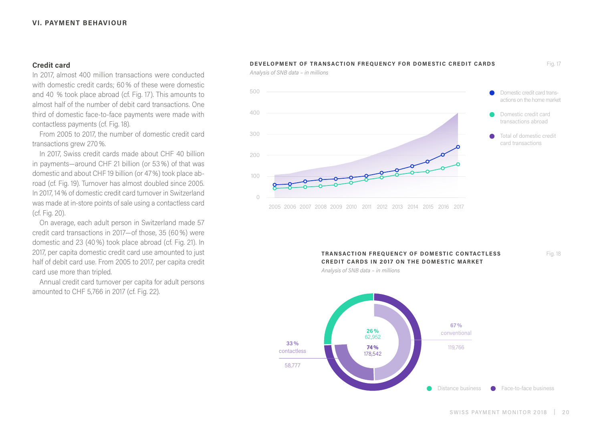# **Credit card**

In 2017, almost 400 million transactions were conducted with domestic credit cards; 60% of these were domestic and 40 % took place abroad (cf. Fig. 17). This amounts to almost half of the number of debit card transactions. One third of domestic face-to-face payments were made with contactless payments (cf. Fig. 18).

From 2005 to 2017, the number of domestic credit card transactions grew 270%.

In 2017, Swiss credit cards made about CHF 40 billion in payments—around CHF 21 billion (or 53%) of that was domestic and about CHF 19 billion (or 47%) took place abroad (cf. Fig. 19). Turnover has almost doubled since 2005. In 2017, 14% of domestic credit card turnover in Switzerland was made at in-store points of sale using a contactless card (cf. Fig. 20).

On average, each adult person in Switzerland made 57 credit card transactions in 2017—of those, 35 (60%) were domestic and 23 (40%) took place abroad (cf. Fig. 21). In 2017, per capita domestic credit card use amounted to just half of debit card use. From 2005 to 2017, per capita credit card use more than tripled.

Annual credit card turnover per capita for adult persons amounted to CHF 5,766 in 2017 (cf. Fig. 22).

### **DEVELOPMENT OF TRANSACTION FREQUENCY FOR DOMESTIC CREDIT CARDS**

*Analysis of SNB data – in millions*



#### **TRANSACTION FREQUENCY OF DOMESTIC CONTACTLESS CREDIT CARDS IN 2017 ON THE DOMESTIC MARKET**

Fig. 18

*Analysis of SNB data – in millions*

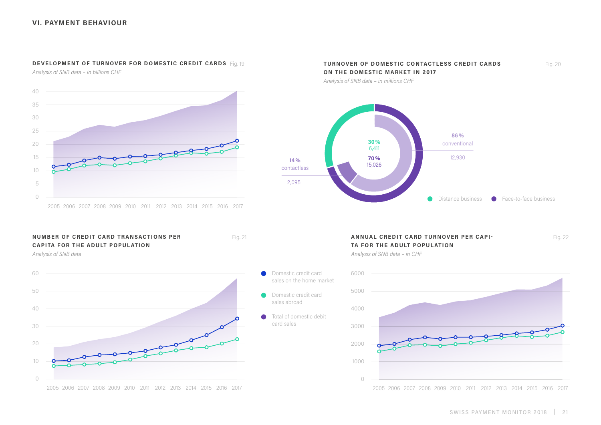#### **DEVELOPMENT OF TURNOVER FOR DOMESTIC CREDIT CARDS** Fig. 19

*Analysis of SNB data – in billions CHF*



#### **NUMBER OF CREDIT CARD TRANSACTIONS PER CAPITA FOR THE ADULT POPUL ATION**

*Analysis of SNB data*







#### **ANNUAL CREDIT CARD TURNOVER PER CAPI-** Fig. 22 Fig. 22 **TA FOR THE ADULT POPUL ATION**

*Analysis of SNB data – in CHF* 

sales on the home market

sales abroad

card sales

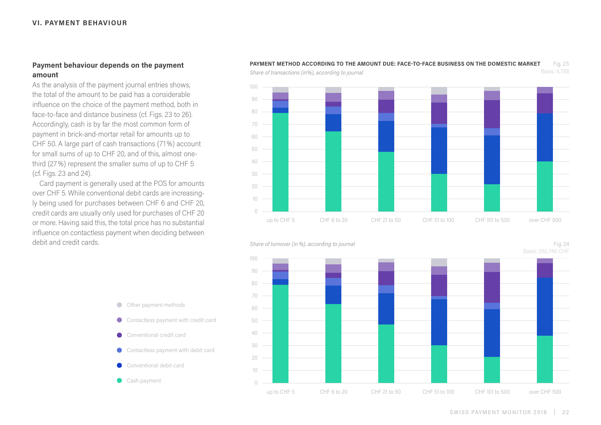# **Payment behaviour depends on the payment amount**

As the analysis of the payment journal entries shows, the total of the amount to be paid has a considerable influence on the choice of the payment method, both in face-to-face and distance business (cf. Figs. 23 to 26). Accordingly, cash is by far the most common form of payment in brick-and-mortar retail for amounts up to CHF 50. A large part of cash transactions (71%) account for small sums of up to CHF 20, and of this, almost onethird (27%) represent the smaller sums of up to CHF 5 (cf. Figs. 23 and 24).

Card payment is generally used at the POS for amounts over CHF 5. While conventional debit cards are increasingly being used for purchases between CHF 6 and CHF 20, credit cards are usually only used for purchases of CHF 20 or more. Having said this, the total price has no substantial influence on contactless payment when deciding between debit and credit cards.

# $\bigcap$ 10 20 30 40 50 60 70 80  $90$ 100 up to CHF 5 CHF 6 to 20 CHF 21 to 50 CHF 51 to 100 CHF 101 to 500 over CHF 500

#### **PAYMENT METHOD ACCORDING TO THE AMOUNT DUE: FACE-TO-FACE BUSINESS ON THE DOMESTIC MARKET** Fig. 23

*Share of transactions (in%), according to journal*



- Other payment methods
- Contactless payment with credit card
- Conventional credit card
- Contactless payment with debit card  $\bullet$
- Conventional debit card
- Cash payment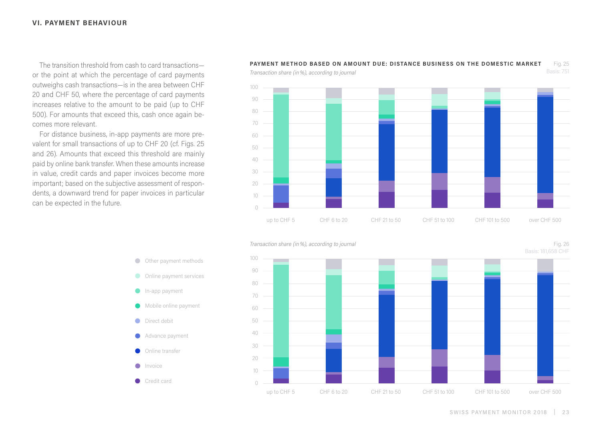The transition threshold from cash to card transactions or the point at which the percentage of card payments outweighs cash transactions—is in the area between CHF 20 and CHF 50, where the percentage of card payments increases relative to the amount to be paid (up to CHF 500). For amounts that exceed this, cash once again becomes more relevant.

For distance business, in-app payments are more prevalent for small transactions of up to CHF 20 (cf. Figs. 25 and 26). Amounts that exceed this threshold are mainly paid by online bank transfer. When these amounts increase in value, credit cards and paper invoices become more important; based on the subjective assessment of respondents, a downward trend for paper invoices in particular can be expected in the future.



#### **PAYMENT METHOD BASED ON AMOUNT DUE: DISTANCE BUSINESS ON THE DOMESTIC MARKET** Fig. 25



*Transaction share (in%), according to journal*

*Transaction share (in%), according to journal*



- Other payment methods
- **Online payment services**
- **In-app payment**
- **Mobile online payment**
- **O** Direct debit
- **Advance payment**
- Online transfer
- $\n *Invoice*\n$
- Credit card

Fig. 26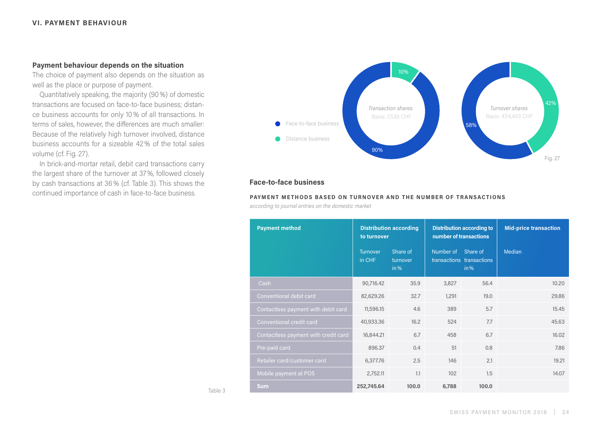# **Payment behaviour depends on the situation**

The choice of payment also depends on the situation as well as the place or purpose of payment.

Quantitatively speaking, the majority (90%) of domestic transactions are focused on face-to-face business; distance business accounts for only 10% of all transactions. In terms of sales, however, the differences are much smaller: Because of the relatively high turnover involved, distance business accounts for a sizeable 42% of the total sales volume (cf. Fig. 27).

In brick-and-mortar retail, debit card transactions carry the largest share of the turnover at 37%, followed closely by cash transactions at 36% (cf. Table 3). This shows the continued importance of cash in face-to-face business.



# **Face-to-face business**

#### **PAYMENT METHODS BASED ON TURNOVER AND THE NUMBER OF TRANSACTIONS**

*according to journal entries on the domestic market*

| <b>Payment method</b>                | <b>Distribution according</b><br>to turnover |                              | <b>Distribution according to</b><br>number of transactions |                                               | <b>Mid-price transaction</b> |  |
|--------------------------------------|----------------------------------------------|------------------------------|------------------------------------------------------------|-----------------------------------------------|------------------------------|--|
|                                      | <b>Turnover</b><br>in CHF                    | Share of<br>turnover<br>in % | Number of                                                  | Share of<br>transactions transactions<br>in % | Median                       |  |
| Cash                                 | 90,716.42                                    | 35.9                         | 3,827                                                      | 56.4                                          | 10.20                        |  |
| Conventional debit card              | 82,629.26                                    | 32.7                         | 1,291                                                      | 19.0                                          | 29.86                        |  |
| Contactless payment with debit card  | 11,596.15                                    | 4.6                          | 389                                                        | 5.7                                           | 15.45                        |  |
| Conventional credit card             | 40,933.36                                    | 16.2                         | 524                                                        | 7.7                                           | 45.63                        |  |
| Contactless payment with credit card | 16,844.21                                    | 6.7                          | 458                                                        | 6.7                                           | 16.02                        |  |
| Pre-paid card                        | 896.37                                       | 0.4                          | 51                                                         | 0.8                                           | 7.86                         |  |
| Retailer card/customer card          | 6,377.76                                     | 2.5                          | 146                                                        | 2.1                                           | 19.21                        |  |
| Mobile payment at POS                | 2,752.11                                     | 1.1                          | 102                                                        | 1.5                                           | 14.07                        |  |
| <b>Sum</b>                           | 252,745.64                                   | 100.0                        | 6,788                                                      | 100.0                                         |                              |  |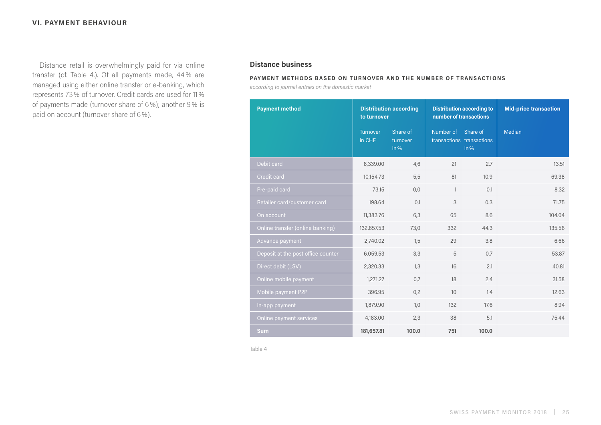Distance retail is overwhelmingly paid for via online transfer (cf. Table 4.). Of all payments made, 44% are managed using either online transfer or e-banking, which represents 73% of turnover. Credit cards are used for 11% of payments made (turnover share of 6%); another 9% is paid on account (turnover share of 6%).

# **Distance business**

#### **PAYMENT METHODS BASED ON TURNOVER AND THE NUMBER OF TRANSACTIONS**

*according to journal entries on the domestic market*

| <b>Payment method</b>              | <b>Distribution according</b><br>to turnover |                              | <b>Distribution according to</b><br>number of transactions |                                   | <b>Mid-price transaction</b> |  |
|------------------------------------|----------------------------------------------|------------------------------|------------------------------------------------------------|-----------------------------------|------------------------------|--|
|                                    | <b>Turnover</b><br>in CHF                    | Share of<br>turnover<br>in % | Number of Share of                                         | transactions transactions<br>in % | Median                       |  |
| Debit card                         | 8,339.00                                     | 4,6                          | 21                                                         | 2.7                               | 13.51                        |  |
| <b>Credit card</b>                 | 10,154.73                                    | 5,5                          | 81                                                         | 10.9                              | 69,38                        |  |
| Pre-paid card                      | 73.15                                        | 0,0                          | $\mathbf{1}$                                               | 0.1                               | 8.32                         |  |
| Retailer card/customer card        | 198.64                                       | 0.1                          | 3                                                          | 0.3                               | 71.75                        |  |
| On account                         | 11,383.76                                    | 6.3                          | 65                                                         | 8.6                               | 104.04                       |  |
| Online transfer (online banking)   | 132,657.53                                   | 73,0                         | 332                                                        | 44.3                              | 135.56                       |  |
| Advance payment                    | 2,740.02                                     | 1.5                          | 29                                                         | 3.8                               | 6.66                         |  |
| Deposit at the post office counter | 6,059.53                                     | 3,3                          | 5                                                          | 0.7                               | 53.87                        |  |
| Direct debit (LSV)                 | 2,320.33                                     | 1,3                          | 16                                                         | 2.1                               | 40.81                        |  |
| Online mobile payment              | 1,271.27                                     | 0,7                          | 18                                                         | 2.4                               | 31.58                        |  |
| Mobile payment P2P                 | 396.95                                       | 0,2                          | 10                                                         | 1.4                               | 12.63                        |  |
| In-app payment                     | 1,879.90                                     | 1,0                          | 132                                                        | 17.6                              | 8.94                         |  |
| Online payment services            | 4,183.00                                     | 2,3                          | 38                                                         | 5.1                               | 75.44                        |  |
| <b>Sum</b>                         | 181,657.81                                   | 100.0                        | 751                                                        | 100.0                             |                              |  |

Table 4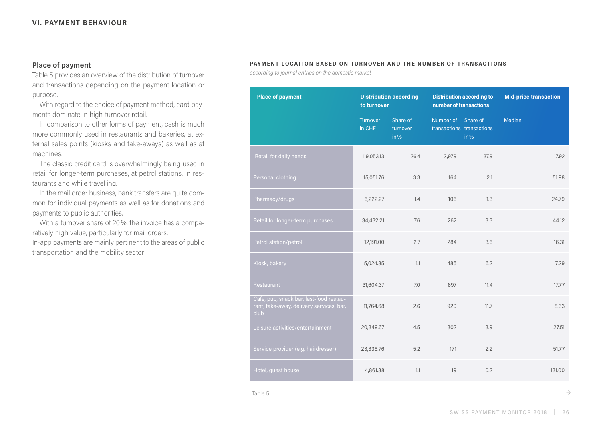# **Place of payment**

Table 5 provides an overview of the distribution of turnover and transactions depending on the payment location or purpose.

With regard to the choice of payment method, card payments dominate in high-turnover retail.

In comparison to other forms of payment, cash is much more commonly used in restaurants and bakeries, at external sales points (kiosks and take-aways) as well as at machines.

The classic credit card is overwhelmingly being used in retail for longer-term purchases, at petrol stations, in restaurants and while travelling.

In the mail order business, bank transfers are quite common for individual payments as well as for donations and payments to public authorities.

With a turnover share of 20%, the invoice has a comparatively high value, particularly for mail orders. In-app payments are mainly pertinent to the areas of public transportation and the mobility sector

#### **PAYMENT LOCATION BASED ON TURNOVER AND THE NUMBER OF TRANSACTIONS**

*according to journal entries on the domestic market*

| <b>Place of payment</b>                                                                     | <b>Distribution according</b><br>to turnover |                              | <b>Distribution according to</b><br>number of transactions |                                   | <b>Mid-price transaction</b> |  |
|---------------------------------------------------------------------------------------------|----------------------------------------------|------------------------------|------------------------------------------------------------|-----------------------------------|------------------------------|--|
|                                                                                             | Turnover<br>in CHF                           | Share of<br>turnover<br>in % | Number of Share of                                         | transactions transactions<br>in % | <b>Median</b>                |  |
| Retail for daily needs                                                                      | 119,053.13                                   | 26.4                         | 2,979                                                      | 37.9                              | 17.92                        |  |
| Personal clothing                                                                           | 15,051.76                                    | 3.3                          | 164                                                        | 2.1                               | 51.98                        |  |
| Pharmacy/drugs                                                                              | 6,222.27                                     | 1.4                          | 106                                                        | 1.3                               | 24.79                        |  |
| Retail for longer-term purchases                                                            | 34,432.21                                    | 7.6                          | 262                                                        | 3.3                               | 44.12                        |  |
| Petrol station/petrol                                                                       | 12,191.00                                    | 2.7                          | 284                                                        | 3.6                               | 16.31                        |  |
| Kiosk, bakery                                                                               | 5,024.85                                     | 1.1                          | 485                                                        | 6.2                               | 7.29                         |  |
| Restaurant                                                                                  | 31,604.37                                    | 7.0                          | 897                                                        | 11.4                              | 17.77                        |  |
| Cafe, pub, snack bar, fast-food restau-<br>rant, take-away, delivery services, bar,<br>club | 11,764.68                                    | 2.6                          | 920                                                        | 11.7                              | 8.33                         |  |
| Leisure activities/entertainment                                                            | 20,349.67                                    | 4.5                          | 302                                                        | 3.9                               | 27.51                        |  |
| Service provider (e.g. hairdresser)                                                         | 23,336.76                                    | 5.2                          | 171                                                        | 2.2                               | 51.77                        |  |
| Hotel, guest house                                                                          | 4,861.38                                     | 1.1                          | 19                                                         | 0.2                               | 131.00                       |  |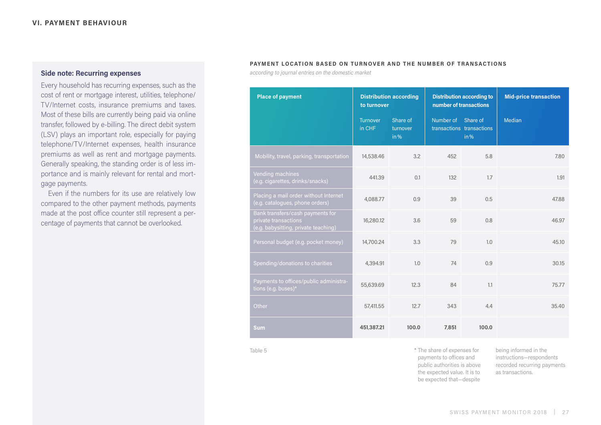# **Side note: Recurring expenses**

Every household has recurring expenses, such as the cost of rent or mortgage interest, utilities, telephone/ TV/Internet costs, insurance premiums and taxes. Most of these bills are currently being paid via online transfer, followed by e-billing. The direct debit system (LSV) plays an important role, especially for paying telephone/TV/Internet expenses, health insurance premiums as well as rent and mortgage payments. Generally speaking, the standing order is of less importance and is mainly relevant for rental and mortgage payments.

Even if the numbers for its use are relatively low compared to the other payment methods, payments made at the post office counter still represent a percentage of payments that cannot be overlooked.

#### **PAYMENT LOCATION BASED ON TURNOVER AND THE NUMBER OF TRANSACTIONS**

*according to journal entries on the domestic market*

| <b>Place of payment</b>                                                                          | <b>Distribution according</b><br>to turnover |                              | <b>Distribution according to</b><br>number of transactions |                                   | <b>Mid-price transaction</b> |  |
|--------------------------------------------------------------------------------------------------|----------------------------------------------|------------------------------|------------------------------------------------------------|-----------------------------------|------------------------------|--|
|                                                                                                  | Turnover<br>in CHF                           | Share of<br>turnover<br>in % | Number of Share of                                         | transactions transactions<br>in % | <b>Median</b>                |  |
| Mobility, travel, parking, transportation                                                        | 14,538.46                                    | 3.2                          | 452                                                        | 5.8                               | 7.80                         |  |
| <b>Vending machines</b><br>(e.g. cigarettes, drinks/snacks)                                      | 441.39                                       | 0.1                          | 132                                                        | 1.7                               | 1.91                         |  |
| Placing a mail order without Internet<br>(e.g. catalogues, phone orders)                         | 4.088.77                                     | 0.9                          | 39                                                         | 0.5                               | 47.88                        |  |
| Bank transfers/cash payments for<br>private transactions<br>(e.g. babysitting, private teaching) | 16,280.12                                    | 3.6                          | 59                                                         | 0.8                               | 46.97                        |  |
| Personal budget (e.g. pocket money)                                                              | 14,700.24                                    | 3.3                          | 79                                                         | 1.0                               | 45.10                        |  |
| Spending/donations to charities                                                                  | 4,394.91                                     | 1.0                          | 74                                                         | 0.9                               | 30.15                        |  |
| Payments to offices/public administra-<br>tions (e.g. buses)*                                    | 55,639.69                                    | 12.3                         | 84                                                         | 1.1                               | 75.77                        |  |
| Other                                                                                            | 57,411.55                                    | 12.7                         | 343                                                        | 4.4                               | 35.40                        |  |
| <b>Sum</b>                                                                                       | 451,387.21                                   | 100.0                        | 7,851                                                      | 100.0                             |                              |  |

Table 5

\* The share of expenses for payments to offices and public authorities is above the expected value. It is to be expected that—despite

being informed in the instructions—respondents recorded recurring payments as transactions.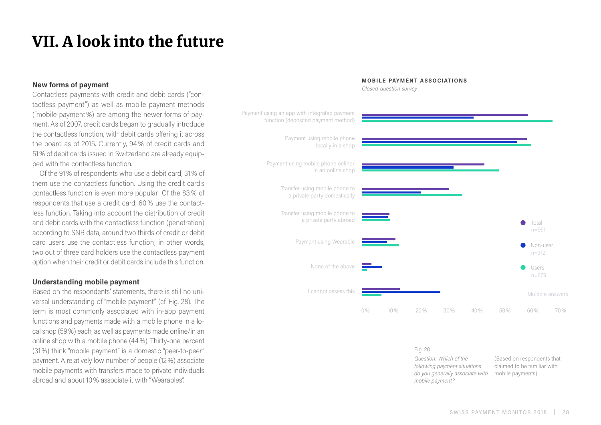# <span id="page-27-0"></span>VII. A look into the future

# **New forms of payment**

Contactless payments with credit and debit cards ("contactless payment") as well as mobile payment methods ("mobile payment%) are among the newer forms of payment. As of 2007, credit cards began to gradually introduce the contactless function, with debit cards offering it across the board as of 2015. Currently, 94% of credit cards and 51% of debit cards issued in Switzerland are already equipped with the contactless function.

Of the 91% of respondents who use a debit card, 31% of them use the contactless function. Using the credit card's contactless function is even more popular: Of the 83% of respondents that use a credit card, 60% use the contactless function. Taking into account the distribution of credit and debit cards with the contactless function (penetration) according to SNB data, around two thirds of credit or debit card users use the contactless function; in other words, two out of three card holders use the contactless payment option when their credit or debit cards include this function.

# **Understanding mobile payment**

Based on the respondents' statements, there is still no universal understanding of "mobile payment" (cf. Fig. 28). The term is most commonly associated with in-app payment functions and payments made with a mobile phone in a local shop (59%) each, as well as payments made online/in an online shop with a mobile phone (44%). Thirty-one percent (31%) think "mobile payment" is a domestic "peer-to-peer" payment. A relatively low number of people (12%) associate mobile payments with transfers made to private individuals abroad and about 10% associate it with "Wearables".



# **MOBILE PAYMENT ASSOCIATIONS**

*Closed-question survey*

#### Fig. 28

*Question: Which of the following payment situations do you generally associate with mobile payment?*

(Based on respondents that claimed to be familiar with mobile payments)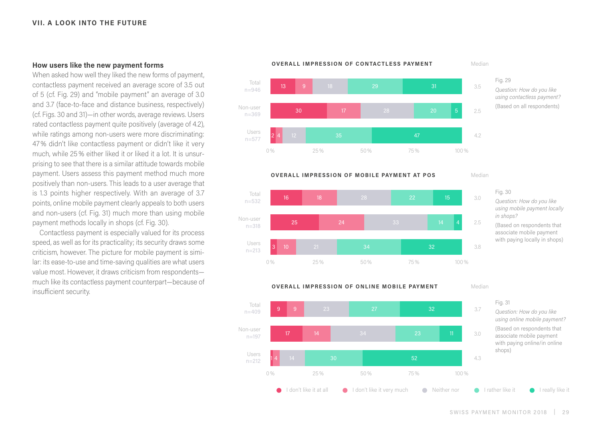### **VII. A LOOK INTO THE FUTURE**

# **How users like the new payment forms**

When asked how well they liked the new forms of payment, contactless payment received an average score of 3.5 out of 5 (cf. Fig. 29) and "mobile payment" an average of 3.0 and 3.7 (face-to-face and distance business, respectively) (cf. Figs. 30 and 31)—in other words, average reviews. Users rated contactless payment quite positively (average of 4.2), while ratings among non-users were more discriminating: 47% didn't like contactless payment or didn't like it very much, while 25% either liked it or liked it a lot. It is unsurprising to see that there is a similar attitude towards mobile payment. Users assess this payment method much more positively than non-users. This leads to a user average that is 1.3 points higher respectively. With an average of 3.7 points, online mobile payment clearly appeals to both users and non-users (cf. Fig. 31) much more than using mobile payment methods locally in shops (cf. Fig. 30).

Contactless payment is especially valued for its process speed, as well as for its practicality; its security draws some criticism, however. The picture for mobile payment is similar: its ease-to-use and time-saving qualities are what users value most. However, it draws criticism from respondents much like its contactless payment counterpart—because of insufficient security.





Median



**OVERALL IMPRESSION OF MOBILE PAYMENT AT POS** 



Fig. 30

*Question: How do you like using mobile payment locally in shops?*

(Based on respondents that associate mobile payment with paying locally in shops)



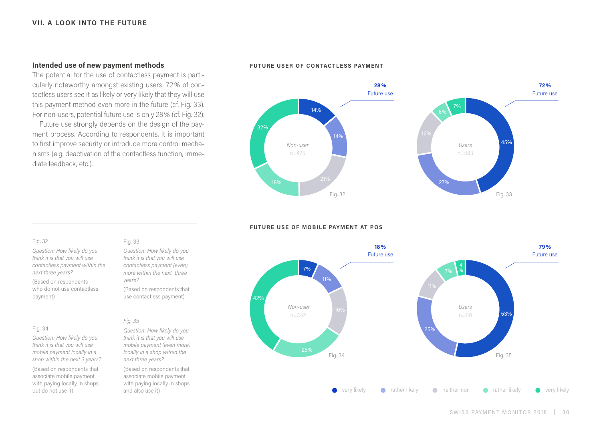# **Intended use of new payment methods**

The potential for the use of contactless payment is particularly noteworthy amongst existing users: 72% of contactless users see it as likely or very likely that they will use this payment method even more in the future (cf. Fig. 33). For non-users, potential future use is only 28% (cf. Fig. 32).

Future use strongly depends on the design of the payment process. According to respondents, it is important to first improve security or introduce more control mechanisms (e.g. deactivation of the contactless function, immediate feedback, etc.).

#### **FUTURE USER OF CONTACTLESS PAYMENT**



#### **FUTURE USE OF MOBILE PAYMENT AT POS**



#### Fig. 32

*Question: How likely do you think it is that you will use contactless payment within the next three years?*

(Based on respondents who do not use contactless payment)

#### Fig. 34

*Question: How likely do you think it is that you will use mobile payment locally in a shop within the next 3 years?* (Based on respondents that associate mobile payment with paying locally in shops, but do not use it)

#### Fig. 33

*Question: How likely do you think it is that you will use contactless payment (even) more within the next three years?*

(Based on respondents that use contactless payment)

#### *Fig. 35*

*Question: How likely do you think it is that you will use mobile payment (even more) locally in a shop within the next three years?*

(Based on respondents that associate mobile payment with paying locally in shops and also use it)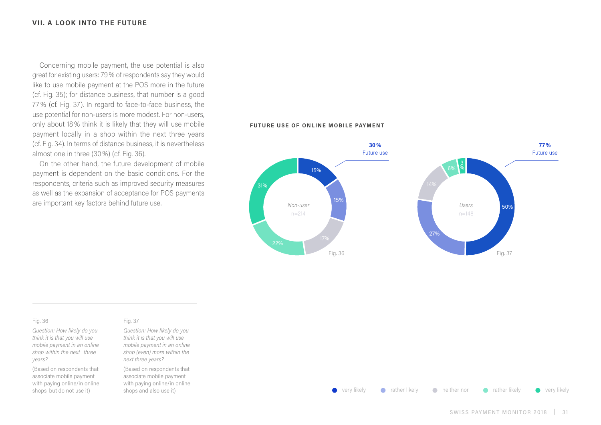Concerning mobile payment, the use potential is also great for existing users: 79% of respondents say they would like to use mobile payment at the POS more in the future (cf. Fig. 35); for distance business, that number is a good 77% (cf. Fig. 37). In regard to face-to-face business, the use potential for non-users is more modest. For non-users, only about 18% think it is likely that they will use mobile payment locally in a shop within the next three years (cf. Fig. 34). In terms of distance business, it is nevertheless almost one in three (30%) (cf. Fig. 36).

On the other hand, the future development of mobile payment is dependent on the basic conditions. For the respondents, criteria such as improved security measures as well as the expansion of acceptance for POS payments

#### **FUTURE USE OF ONLINE MOBILE PAYMENT**



#### Fig. 36

*Question: How likely do you think it is that you will use mobile payment in an online shop within the next three years?*

(Based on respondents that associate mobile payment with paying online/in online shops, but do not use it)

#### Fig. 37

*Question: How likely do you think it is that you will use mobile payment in an online shop (even) more within the next three years?*

(Based on respondents that associate mobile payment with paying online/in online shops and also use it)



 $\bullet$  very likely  $\bullet$  rather likely  $\bullet$  neither nor  $\bullet$  rather likely  $\bullet$  very likely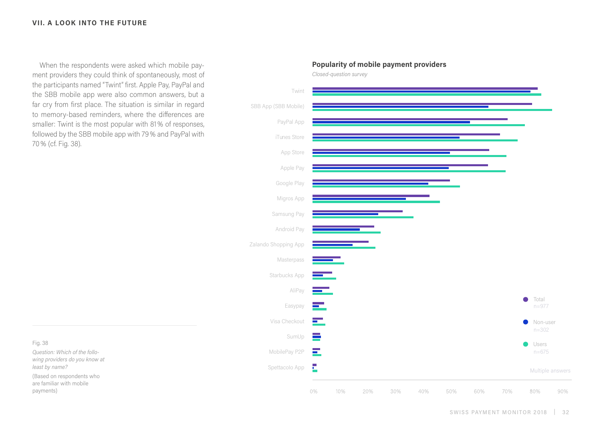# **VII. A LOOK INTO THE FUTURE**

When the respondents were asked which mobile payment providers they could think of spontaneously, most of the participants named "Twint" first. Apple Pay, PayPal and the SBB mobile app were also common answers, but a far cry from first place. The situation is similar in regard to memory-based reminders, where the differences are smaller: Twint is the most popular with 81% of responses, followed by the SBB mobile app with 79% and PayPal with 70% (cf. Fig. 38).

Twint SBB App (SBB Mobile) PayPal App iTunes Store App Store Apple Pay Google Play Migros App Samsung Pay Android Pay Zalando Shopping App Masterpass Starbucks App AliPay Total  $\bullet$ **Contract** Easypay n=977Visa Checkout <u>i sa</u> Non-user  $\bullet$  $n = 302$ SumUp  $\equiv$  $\bullet$ Users  $\blacksquare$ MobilePay P2P n=675 E Spettacolo App Multiple answers

40%

30%

50%

60%

# **Popularity of mobile payment providers**

*Closed-question survey*

0%

10%

20%

Fig. 38

*Question: Which of the following providers do you know at least by name?*

(Based on respondents who are familiar with mobile payments)

70%

80%

90%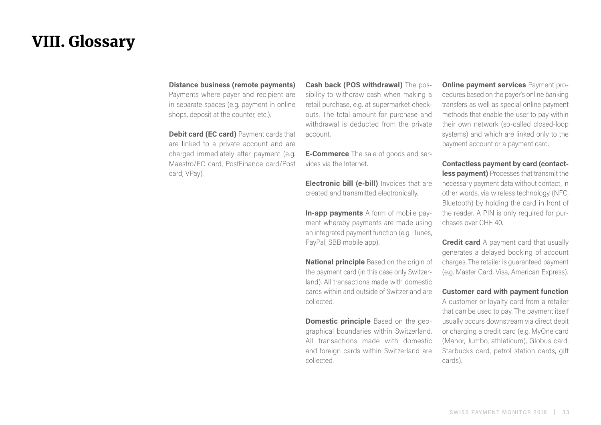# <span id="page-32-0"></span>VIII. Glossary

### **Distance business (remote payments)**

Payments where payer and recipient are in separate spaces (e.g. payment in online shops, deposit at the counter, etc.).

**Debit card (EC card)** Payment cards that are linked to a private account and are charged immediately after payment (e.g. Maestro/EC card, PostFinance card/Post card, VPay).

**Cash back (POS withdrawal)** The possibility to withdraw cash when making a retail purchase, e.g. at supermarket checkouts. The total amount for purchase and withdrawal is deducted from the private account.

**E-Commerce** The sale of goods and services via the Internet.

**Electronic bill (e-bill)** Invoices that are created and transmitted electronically.

**In-app payments** A form of mobile payment whereby payments are made using an integrated payment function (e.g. iTunes, PayPal, SBB mobile app)..

**National principle** Based on the origin of the payment card (in this case only Switzerland). All transactions made with domestic cards within and outside of Switzerland are collected.

**Domestic principle** Based on the geographical boundaries within Switzerland. All transactions made with domestic and foreign cards within Switzerland are collected.

**Online payment services** Payment procedures based on the payer's online banking transfers as well as special online payment methods that enable the user to pay within their own network (so-called closed-loop systems) and which are linked only to the payment account or a payment card.

**Contactless payment by card (contactless payment)** Processes that transmit the necessary payment data without contact, in other words, via wireless technology (NFC, Bluetooth) by holding the card in front of the reader. A PIN is only required for purchases over CHF 40.

**Credit card** A payment card that usually generates a delayed booking of account charges. The retailer is guaranteed payment (e.g. Master Card, Visa, American Express).

**Customer card with payment function**

A customer or loyalty card from a retailer that can be used to pay. The payment itself usually occurs downstream via direct debit or charging a credit card (e.g. MyOne card (Manor, Jumbo, athleticum), Globus card, Starbucks card, petrol station cards, gift cards).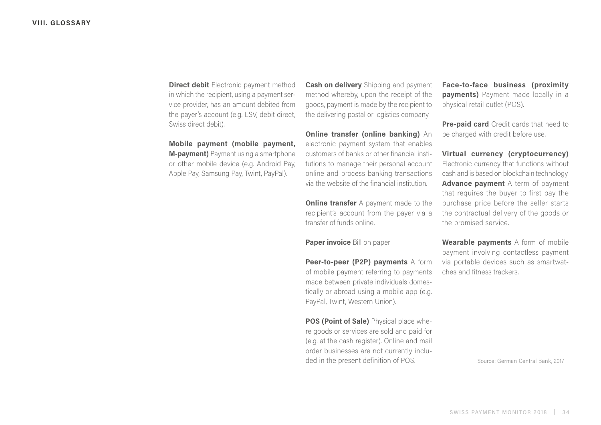**Direct debit** Electronic payment method in which the recipient, using a payment service provider, has an amount debited from the payer's account (e.g. LSV, debit direct, Swiss direct debit).

**Mobile payment (mobile payment, M-payment)** Payment using a smartphone or other mobile device (e.g. Android Pay, Apple Pay, Samsung Pay, Twint, PayPal).

**Cash on delivery** Shipping and payment method whereby, upon the receipt of the goods, payment is made by the recipient to the delivering postal or logistics company.

**Online transfer (online banking)** An electronic payment system that enables customers of banks or other financial institutions to manage their personal account online and process banking transactions via the website of the financial institution.

**Online transfer** A payment made to the recipient's account from the payer via a transfer of funds online.

**Paper invoice** Bill on paper

**Peer-to-peer (P2P) payments** A form of mobile payment referring to payments made between private individuals domestically or abroad using a mobile app (e.g. PayPal, Twint, Western Union).

**POS (Point of Sale)** Physical place where goods or services are sold and paid for (e.g. at the cash register). Online and mail order businesses are not currently included in the present definition of POS.

**Face-to-face business (proximity payments)** Payment made locally in a physical retail outlet (POS).

**Pre-paid card** Credit cards that need to be charged with credit before use.

**Virtual currency (cryptocurrency)**  Electronic currency that functions without cash and is based on blockchain technology. **Advance payment** A term of payment that requires the buyer to first pay the purchase price before the seller starts the contractual delivery of the goods or the promised service.

**Wearable payments** A form of mobile payment involving contactless payment via portable devices such as smartwatches and fitness trackers.

Source: German Central Bank, 2017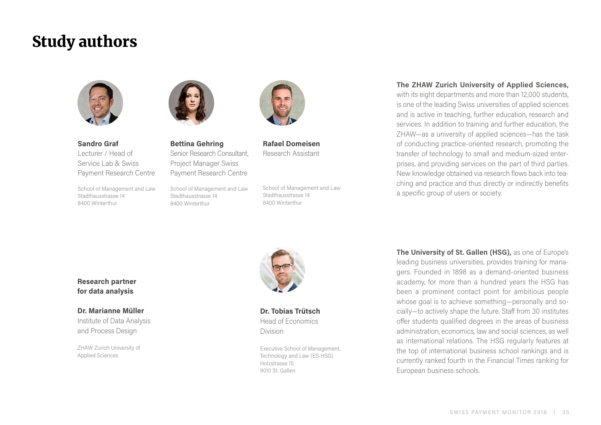# Study authors



**Sandro Graf** Lecturer / Head of Service Lab & Swiss Payment Research Centre

School of Management and Law Stadthausstrasse 14 8400 Winterthur



**Bettina Gehring** Senior Research Consultant, Project Manager Swiss Payment Research Centre

School of Management and Law Stadthausstrasse 14 8400 Winterthur



**Rafael Domeisen** Research Assistant

School of Management and Law Stadthausstrasse 14 8400 Winterthur

# **The ZHAW Zurich University of Applied Sciences,** with its eight departments and more than 12,000 students,

is one of the leading Swiss universities of applied sciences and is active in teaching, further education, research and services. In addition to training and further education, the ZHAW—as a university of applied sciences—has the task of conducting practice-oriented research, promoting the transfer of technology to small and medium-sized enterprises, and providing services on the part of third parties. New knowledge obtained via research flows back into teaching and practice and thus directly or indirectly benefits a specific group of users or society.

**Research partner for data analysis**

# **Dr. Marianne Müller**

Institute of Data Analysis and Process Design

ZHAW Zurich University of Applied Sciences



**Dr. Tobias Trütsch** Head of Economics Division

Executive School of Management, Technology and Law (ES-HSG) Holzstrasse 15 9010 St. Gallen

**The University of St. Gallen (HSG),** as one of Europe's leading business universities, provides training for managers. Founded in 1898 as a demand-oriented business academy, for more than a hundred years the HSG has been a prominent contact point for ambitious people whose goal is to achieve something—personally and socially—to actively shape the future. Staff from 30 institutes offer students qualified degrees in the areas of business administration, economics, law and social sciences, as well as international relations. The HSG regularly features at the top of international business school rankings and is currently ranked fourth in the Financial Times ranking for European business schools.